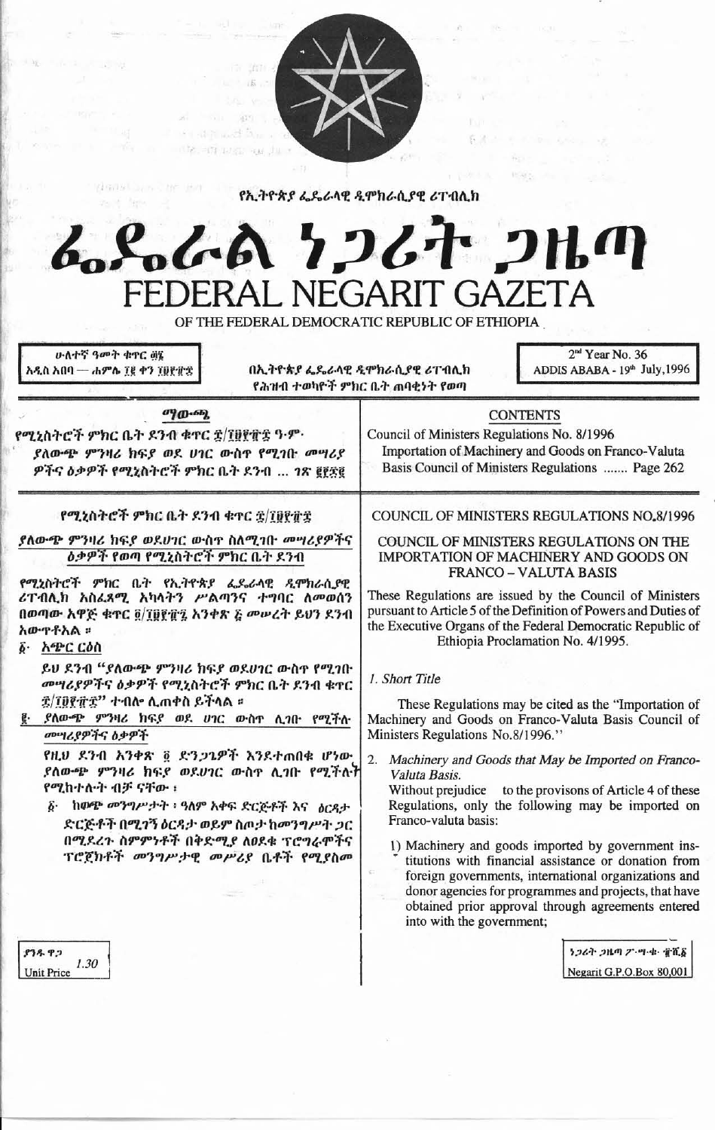

የኢትዮጵያ ፌዴራላዊ ዲሞክራሲያዊ ሪፐብሊክ

# こんぬ ケンムナ ンルの **NEGARIT**

OF THE FEDERAL DEMOCRATIC REPUBLIC OF ETHIOPIA ሁለተኛ ዓመት ቁዋር ወኔ 2<sup>nd</sup> Year No. 36 በኢትዮጵያ ፌዴራላዊ ዲሞክራሲያዊ ሪፐብሊክ ADDIS ABABA - 19th July, 1996 አዲስ አበባ — ሐምሌ ፲፱ ቀን ፲፱፻፹፰ የሕዝብ ተወካዮች ምክር ቤት ጠባቂነት የወጣ  $\sigma$ <sup>0</sup> $\sigma$ - $\sigma$ <sup>0</sup> **CONTENTS** የሚኒስትሮች ምክር ቤት ደንብ ቁዋር ፰/፲፱፻፹፰ ዓ·ም· Council of Ministers Regulations No. 8/1996 Importation of Machinery and Goods on Franco-Valuta ያለውጭ ምንዛሪ ክፍያ ወደ ሀገር ውስዋ የሚገበ መሣሪያ Basis Council of Ministers Regulations ....... Page 262 ዎችና ዕቃዎች የሚኒስትሮች ምክር ቤት ደንብ ... ገጽ ፪፻፳፪ የሚኒስትሮች ምክር ቤት ደንብ ቁጥር ኗ/፲፱፻፹፰ COUNCIL OF MINISTERS REGULATIONS NO.8/1996 ያለውጭ ምንዛሪ ክፍያ ወደሀገር ውስተ ስለሚገቡ መሣሪያዎችና COUNCIL OF MINISTERS REGULATIONS ON THE *ዕቃዎች የወጣ የሚኒ*ስትሮች ምክር ቤት ደንብ IMPORTATION OF MACHINERY AND GOODS ON **FRANCO - VALUTA BASIS** የሚኒስትሮች ምክር ቤት የኢትዮጵያ ፌዴራላዊ ዲሞክራሲያዊ ሪፐብሲክ አስሬጸሚ አካላትን ሥልጣንና ተግባር ለመወሰን These Regulations are issued by the Council of Ministers pursuant to Article 5 of the Definition of Powers and Duties of በወጣው አዋጅ ቁዋር ō/ፐፀየብኚ አንቀጽ ፩ መሠረት ይህን ደንብ the Executive Organs of the Federal Democratic Republic of አውዋቶአል ፡፡ Ethiopia Proclamation No. 4/1995. ፩· አጭር ርዕስ ይህ ደንብ "ያለውጭ ምንዛሪ ክፍያ ወደሀገር ውስዋ የሚገቡ 1. Short Title መሣሪያዎችና ዕቃዎች የሚኒስትሮች ምክር ቤት ደንብ ቁዋር <u> ቌ/፲፱፻፹ቌ'' ተብሎ ሲጠቀስ ይችላል ፡</u> These Regulations may be cited as the "Importation of ፪ ያለውጭ ምንዛሪ ክፍያ ወደ ሀገር ውስጥ ሲገቡ የሚችሉ Machinery and Goods on Franco-Valuta Basis Council of Ministers Regulations No.8/1996." መሣሪያዎችና ዕቃዎች የዚሀ ደንብ አንቀጽ ፬ ድንጋጌዎች እንደተጠበቁ ሆነው 2. Machinery and Goods that May be Imported on Franco-ያለውጭ ምንዛሪ ክፍያ ወደሀገር ውስዋ ሲገቡ የሚችሉት Valuta Basis. የሚከተሉት ብቻ ናቸው ፡ Without prejudice to the provisons of Article 4 of these ፩ ከውጭ መንግሥታት ፣ ዓለም አቀፍ ድርጅቶች እና ዕርዳታ Regulations, only the following may be imported on Franco-valuta basis: ድርጅቶች በሚገኝ ዕርዳታ ወይም ስጦታ ከመንግሥት ጋር

> 1) Machinery and goods imported by government institutions with financial assistance or donation from foreign governments, international organizations and donor agencies for programmes and projects, that have obtained prior approval through agreements entered into with the government;

> > ነጋሪት ጋዜጣ ፖ'-ሣ-ቁ- ቸሺδ Negarit G.P.O.Box 80,001

838.92  $1.30$ **Unit Price** 

በሚደረጉ ስምምነቶች በቅድሚያ ለፀደቁ ፕሮግራሞችና

ፕሮጀክቶች መንግሥታዊ መሥሪያ ቤቶች የሚያስመ